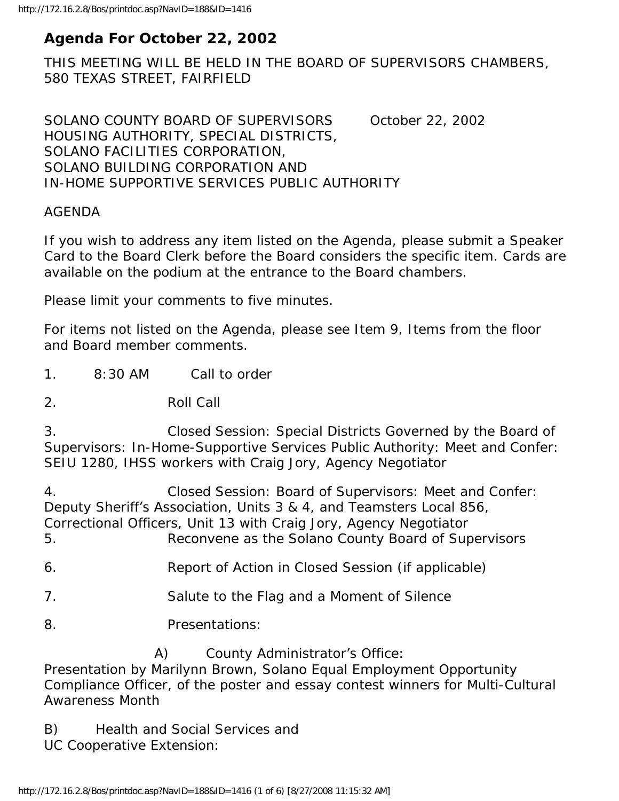# **Agenda For October 22, 2002**

THIS MEETING WILL BE HELD IN THE BOARD OF SUPERVISORS CHAMBERS, 580 TEXAS STREET, FAIRFIELD

SOLANO COUNTY BOARD OF SUPERVISORS October 22, 2002 HOUSING AUTHORITY, SPECIAL DISTRICTS, SOLANO FACILITIES CORPORATION, SOLANO BUILDING CORPORATION AND IN-HOME SUPPORTIVE SERVICES PUBLIC AUTHORITY

# AGENDA

If you wish to address any item listed on the Agenda, please submit a Speaker Card to the Board Clerk before the Board considers the specific item. Cards are available on the podium at the entrance to the Board chambers.

Please limit your comments to five minutes.

For items not listed on the Agenda, please see Item 9, Items from the floor and Board member comments.

1. 8:30 AM Call to order

2. Roll Call

3. Closed Session: Special Districts Governed by the Board of Supervisors: In-Home-Supportive Services Public Authority: Meet and Confer: SEIU 1280, IHSS workers with Craig Jory, Agency Negotiator

4. Closed Session: Board of Supervisors: Meet and Confer: Deputy Sheriff's Association, Units 3 & 4, and Teamsters Local 856, Correctional Officers, Unit 13 with Craig Jory, Agency Negotiator

5. Reconvene as the Solano County Board of Supervisors

6. Report of Action in Closed Session (if applicable)

- 7. Salute to the Flag and a Moment of Silence
- 8. Presentations:

A) County Administrator's Office:

Presentation by Marilynn Brown, Solano Equal Employment Opportunity Compliance Officer, of the poster and essay contest winners for Multi-Cultural Awareness Month

B) Health and Social Services and

UC Cooperative Extension: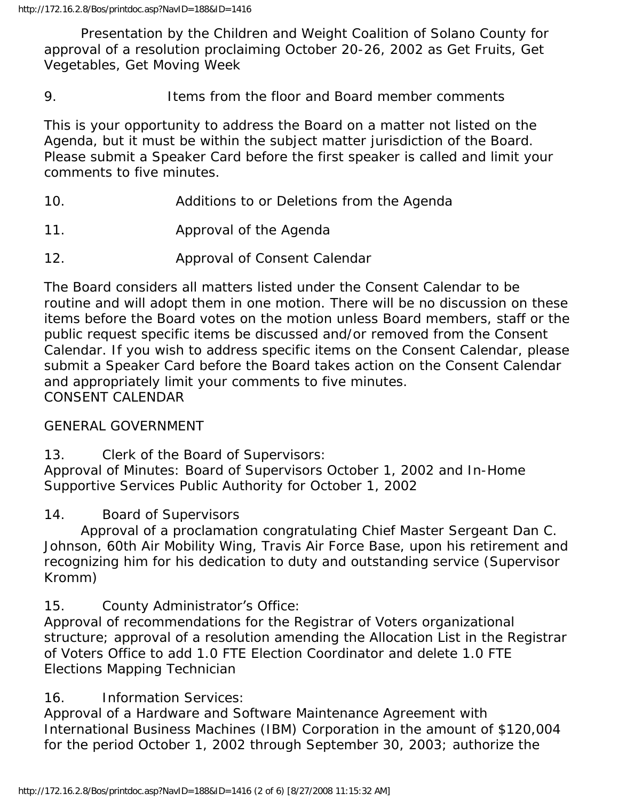Presentation by the Children and Weight Coalition of Solano County for approval of a resolution proclaiming October 20-26, 2002 as Get Fruits, Get Vegetables, Get Moving Week

9. Items from the floor and Board member comments

This is your opportunity to address the Board on a matter not listed on the Agenda, but it must be within the subject matter jurisdiction of the Board. Please submit a Speaker Card before the first speaker is called and limit your comments to five minutes.

- 10. Additions to or Deletions from the Agenda
- 11. Approval of the Agenda
- 12. Approval of Consent Calendar

The Board considers all matters listed under the Consent Calendar to be routine and will adopt them in one motion. There will be no discussion on these items before the Board votes on the motion unless Board members, staff or the public request specific items be discussed and/or removed from the Consent Calendar. If you wish to address specific items on the Consent Calendar, please submit a Speaker Card before the Board takes action on the Consent Calendar and appropriately limit your comments to five minutes. CONSENT CALENDAR

# GENERAL GOVERNMENT

13. Clerk of the Board of Supervisors:

Approval of Minutes: Board of Supervisors October 1, 2002 and In-Home Supportive Services Public Authority for October 1, 2002

# 14. Board of Supervisors

 Approval of a proclamation congratulating Chief Master Sergeant Dan C. Johnson, 60th Air Mobility Wing, Travis Air Force Base, upon his retirement and recognizing him for his dedication to duty and outstanding service (Supervisor Kromm)

15. County Administrator's Office:

Approval of recommendations for the Registrar of Voters organizational structure; approval of a resolution amending the Allocation List in the Registrar of Voters Office to add 1.0 FTE Election Coordinator and delete 1.0 FTE Elections Mapping Technician

# 16. Information Services:

Approval of a Hardware and Software Maintenance Agreement with International Business Machines (IBM) Corporation in the amount of \$120,004 for the period October 1, 2002 through September 30, 2003; authorize the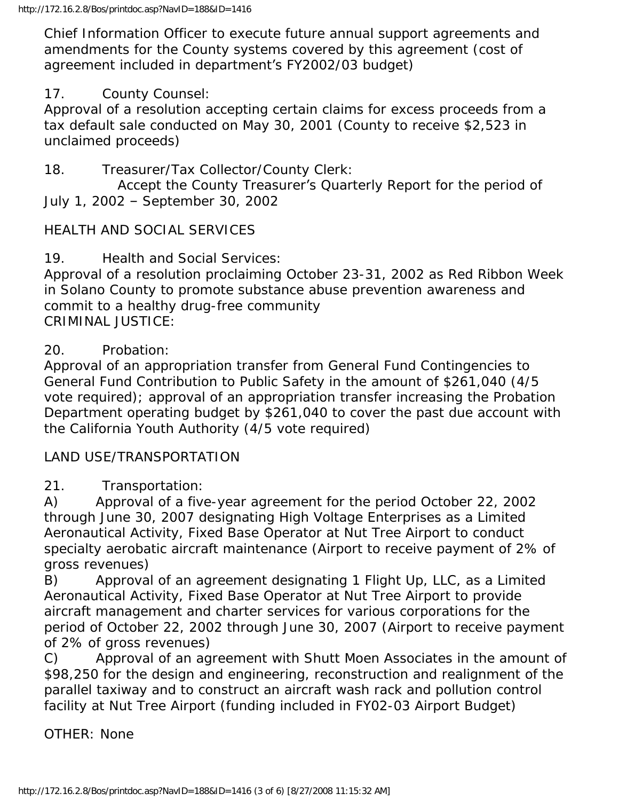Chief Information Officer to execute future annual support agreements and amendments for the County systems covered by this agreement (cost of agreement included in department's FY2002/03 budget)

# 17. County Counsel:

Approval of a resolution accepting certain claims for excess proceeds from a tax default sale conducted on May 30, 2001 (County to receive \$2,523 in unclaimed proceeds)

18. Treasurer/Tax Collector/County Clerk:

 Accept the County Treasurer's Quarterly Report for the period of July 1, 2002 – September 30, 2002

# HEALTH AND SOCIAL SERVICES

19. Health and Social Services:

Approval of a resolution proclaiming October 23-31, 2002 as Red Ribbon Week in Solano County to promote substance abuse prevention awareness and commit to a healthy drug-free community CRIMINAL JUSTICE:

# 20. Probation:

Approval of an appropriation transfer from General Fund Contingencies to General Fund Contribution to Public Safety in the amount of \$261,040 (4/5 vote required); approval of an appropriation transfer increasing the Probation Department operating budget by \$261,040 to cover the past due account with the California Youth Authority (4/5 vote required)

## LAND USE/TRANSPORTATION

21. Transportation:

A) Approval of a five-year agreement for the period October 22, 2002 through June 30, 2007 designating High Voltage Enterprises as a Limited Aeronautical Activity, Fixed Base Operator at Nut Tree Airport to conduct specialty aerobatic aircraft maintenance (Airport to receive payment of 2% of gross revenues)

B) Approval of an agreement designating 1 Flight Up, LLC, as a Limited Aeronautical Activity, Fixed Base Operator at Nut Tree Airport to provide aircraft management and charter services for various corporations for the period of October 22, 2002 through June 30, 2007 (Airport to receive payment of 2% of gross revenues)

C) Approval of an agreement with Shutt Moen Associates in the amount of \$98,250 for the design and engineering, reconstruction and realignment of the parallel taxiway and to construct an aircraft wash rack and pollution control facility at Nut Tree Airport (funding included in FY02-03 Airport Budget)

#### OTHER: None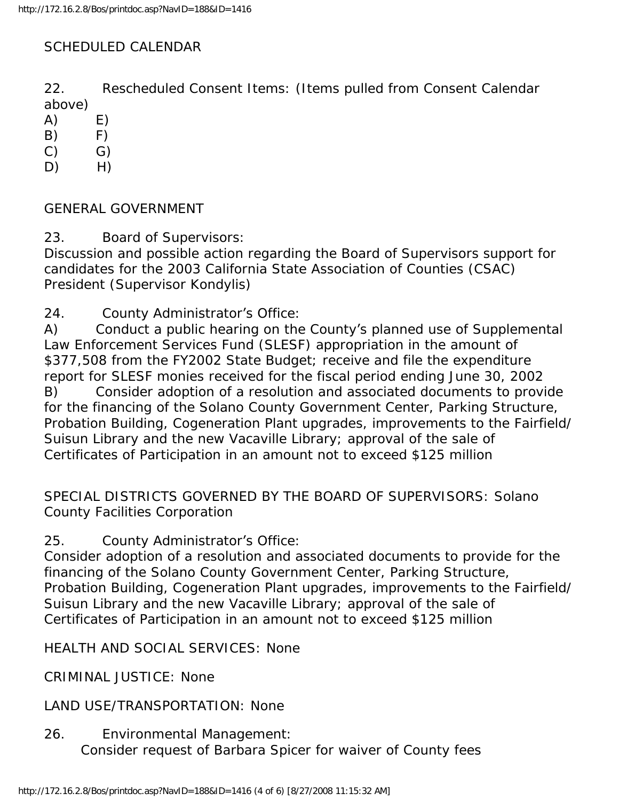# SCHEDULED CALENDAR

22. Rescheduled Consent Items: (Items pulled from Consent Calendar above)

- $(A)$   $E)$
- $(B)$   $F)$
- $(C)$   $G)$
- D) H)

GENERAL GOVERNMENT

23. Board of Supervisors:

Discussion and possible action regarding the Board of Supervisors support for candidates for the 2003 California State Association of Counties (CSAC) President (Supervisor Kondylis)

24. County Administrator's Office:

A) Conduct a public hearing on the County's planned use of Supplemental Law Enforcement Services Fund (SLESF) appropriation in the amount of \$377,508 from the FY2002 State Budget; receive and file the expenditure report for SLESF monies received for the fiscal period ending June 30, 2002 B) Consider adoption of a resolution and associated documents to provide for the financing of the Solano County Government Center, Parking Structure, Probation Building, Cogeneration Plant upgrades, improvements to the Fairfield/ Suisun Library and the new Vacaville Library; approval of the sale of Certificates of Participation in an amount not to exceed \$125 million

SPECIAL DISTRICTS GOVERNED BY THE BOARD OF SUPERVISORS: Solano County Facilities Corporation

25. County Administrator's Office:

Consider adoption of a resolution and associated documents to provide for the financing of the Solano County Government Center, Parking Structure, Probation Building, Cogeneration Plant upgrades, improvements to the Fairfield/ Suisun Library and the new Vacaville Library; approval of the sale of Certificates of Participation in an amount not to exceed \$125 million

HEALTH AND SOCIAL SERVICES: None

CRIMINAL JUSTICE: None

LAND USE/TRANSPORTATION: None

26. Environmental Management: Consider request of Barbara Spicer for waiver of County fees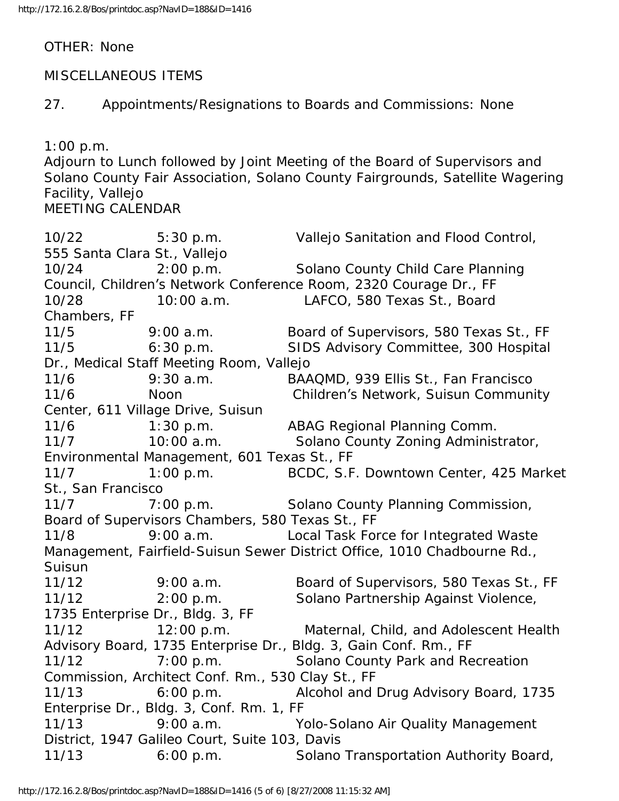OTHER: None

## MISCELLANEOUS ITEMS

27. Appointments/Resignations to Boards and Commissions: None

1:00 p.m.

Adjourn to Lunch followed by Joint Meeting of the Board of Supervisors and Solano County Fair Association, Solano County Fairgrounds, Satellite Wagering Facility, Vallejo MEETING CALENDAR

10/22 5:30 p.m. Vallejo Sanitation and Flood Control, 555 Santa Clara St., Vallejo 10/24 2:00 p.m. Solano County Child Care Planning Council, Children's Network Conference Room, 2320 Courage Dr., FF 10/28 10:00 a.m. LAFCO, 580 Texas St., Board Chambers, FF 11/5 9:00 a.m. Board of Supervisors, 580 Texas St., FF 11/5 6:30 p.m. SIDS Advisory Committee, 300 Hospital Dr., Medical Staff Meeting Room, Vallejo 11/6 9:30 a.m. BAAQMD, 939 Ellis St., Fan Francisco 11/6 Noon Children's Network, Suisun Community Center, 611 Village Drive, Suisun 11/6 1:30 p.m. ABAG Regional Planning Comm. 11/7 10:00 a.m. Solano County Zoning Administrator, Environmental Management, 601 Texas St., FF 11/7 1:00 p.m. BCDC, S.F. Downtown Center, 425 Market St., San Francisco 11/7 7:00 p.m. Solano County Planning Commission, Board of Supervisors Chambers, 580 Texas St., FF 11/8 9:00 a.m. Local Task Force for Integrated Waste Management, Fairfield-Suisun Sewer District Office, 1010 Chadbourne Rd., Suisun 11/12 9:00 a.m. Board of Supervisors, 580 Texas St., FF 11/12 2:00 p.m. Solano Partnership Against Violence, 1735 Enterprise Dr., Bldg. 3, FF 11/12 12:00 p.m. Maternal, Child, and Adolescent Health Advisory Board, 1735 Enterprise Dr., Bldg. 3, Gain Conf. Rm., FF 11/12 7:00 p.m. Solano County Park and Recreation Commission, Architect Conf. Rm., 530 Clay St., FF 11/13 6:00 p.m. Alcohol and Drug Advisory Board, 1735 Enterprise Dr., Bldg. 3, Conf. Rm. 1, FF 11/13 9:00 a.m. Yolo-Solano Air Quality Management District, 1947 Galileo Court, Suite 103, Davis 11/13 6:00 p.m. Solano Transportation Authority Board,